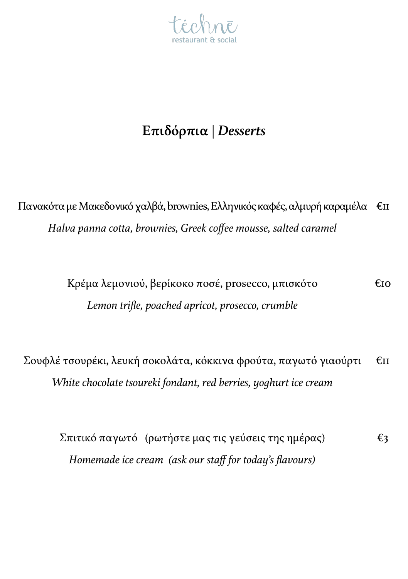

## **Επιδόρπια** | *Desserts*

Πανακότα με Μακεδονικό χαλβά, brownies, Ελληνικός καφές, αλμυρή καραμέλα €11 *Halva panna cotta, brownies, Greek coffee mousse, salted caramel*

> Κρέμα λεμονιού, βερίκοκο ποσέ, prosecco, μπισκότο €10 *Lemon trifle, poached apricot, prosecco, crumble*

Σουφλέ τσουρέκι, λευκή σοκολάτα, κόκκινα φρούτα, παγωτό γιαούρτι €11 *White chocolate tsoureki fondant, red berries, yoghurt ice cream*

Σπιτικό παγωτό (ρωτήστε μας τις γεύσεις της ημέρας) €3 *Homemade ice cream (ask our staff for today's flavours)*